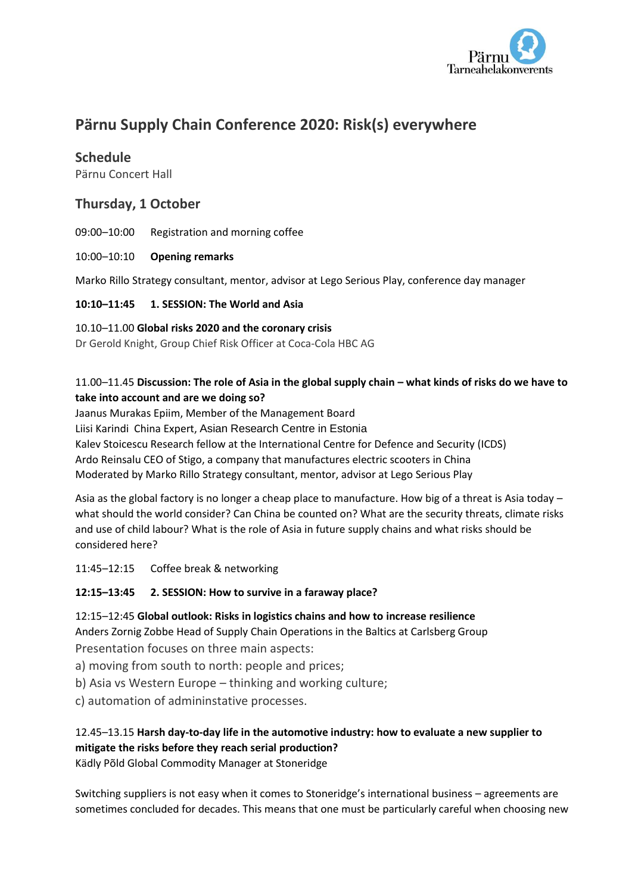

# **Pärnu Supply Chain Conference 2020: Risk(s) everywhere**

# **Schedule**

Pärnu Concert Hall

# **Thursday, 1 October**

09:00–10:00 Registration and morning coffee

#### 10:00–10:10 **Opening remarks**

Marko Rillo Strategy consultant, mentor, advisor at Lego Serious Play, conference day manager

## **10:10–11:45 1. SESSION: The World and Asia**

#### 10.10–11.00 **Global risks 2020 and the coronary crisis**

Dr Gerold Knight, Group Chief Risk Officer at Coca-Cola HBC AG

## 11.00–11.45 **Discussion: The role of Asia in the global supply chain – what kinds of risks do we have to take into account and are we doing so?**

Jaanus Murakas Epiim, Member of the Management Board Liisi Karindi China Expert, Asian Research Centre in Estonia Kalev Stoicescu Research fellow at the International Centre for Defence and Security (ICDS) Ardo Reinsalu CEO of Stigo, a company that manufactures electric scooters in China Moderated by Marko Rillo Strategy consultant, mentor, advisor at Lego Serious Play

Asia as the global factory is no longer a cheap place to manufacture. How big of a threat is Asia today – what should the world consider? Can China be counted on? What are the security threats, climate risks and use of child labour? What is the role of Asia in future supply chains and what risks should be considered here?

11:45–12:15 Coffee break & networking

## **12:15–13:45 2. SESSION: How to survive in a faraway place?**

12:15–12:45 **Global outlook: Risks in logistics chains and how to increase resilience** Anders Zornig Zobbe Head of Supply Chain Operations in the Baltics at Carlsberg Group Presentation focuses on three main aspects:

- a) moving from south to north: people and prices;
- b) Asia vs Western Europe thinking and working culture;
- c) automation of admininstative processes.

## 12.45–13.15 **Harsh day-to-day life in the automotive industry: how to evaluate a new supplier to mitigate the risks before they reach serial production?**

Kädly Põld Global Commodity Manager at Stoneridge

Switching suppliers is not easy when it comes to Stoneridge's international business – agreements are sometimes concluded for decades. This means that one must be particularly careful when choosing new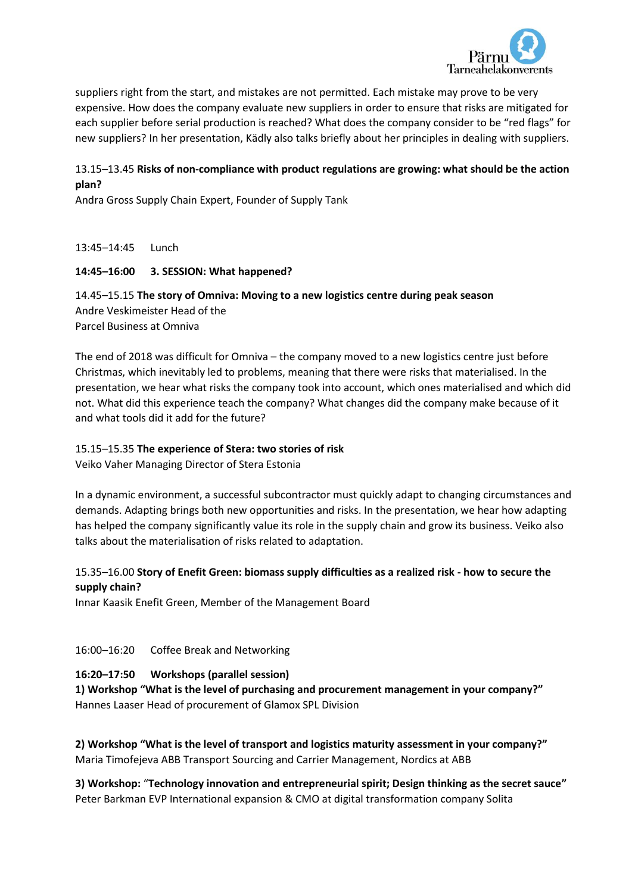

suppliers right from the start, and mistakes are not permitted. Each mistake may prove to be very expensive. How does the company evaluate new suppliers in order to ensure that risks are mitigated for each supplier before serial production is reached? What does the company consider to be "red flags" for new suppliers? In her presentation, Kädly also talks briefly about her principles in dealing with suppliers.

## 13.15–13.45 **Risks of non-compliance with product regulations are growing: what should be the action plan?**

Andra Gross Supply Chain Expert, Founder of Supply Tank

13:45–14:45 Lunch

#### **14:45–16:00 3. SESSION: What happened?**

14.45–15.15 **The story of Omniva: Moving to a new logistics centre during peak season** Andre Veskimeister Head of the Parcel Business at Omniva

The end of 2018 was difficult for Omniva – the company moved to a new logistics centre just before Christmas, which inevitably led to problems, meaning that there were risks that materialised. In the presentation, we hear what risks the company took into account, which ones materialised and which did not. What did this experience teach the company? What changes did the company make because of it and what tools did it add for the future?

#### 15.15–15.35 **The experience of Stera: two stories of risk**

Veiko Vaher Managing Director of Stera Estonia

In a dynamic environment, a successful subcontractor must quickly adapt to changing circumstances and demands. Adapting brings both new opportunities and risks. In the presentation, we hear how adapting has helped the company significantly value its role in the supply chain and grow its business. Veiko also talks about the materialisation of risks related to adaptation.

## 15.35–16.00 **Story of Enefit Green: biomass supply difficulties as a realized risk - how to secure the supply chain?**

Innar Kaasik Enefit Green, Member of the Management Board

## 16:00–16:20 Coffee Break and Networking

## **16:20–17:50 Workshops (parallel session)**

**1) Workshop "What is the level of purchasing and procurement management in your company?"** Hannes Laaser Head of procurement of Glamox SPL Division

**2) Workshop "What is the level of transport and logistics maturity assessment in your company?"** Maria Timofejeva ABB Transport Sourcing and Carrier Management, Nordics at ABB

**3) Workshop:** "**Technology innovation and entrepreneurial spirit; Design thinking as the secret sauce"** Peter Barkman EVP International expansion & CMO at digital transformation company Solita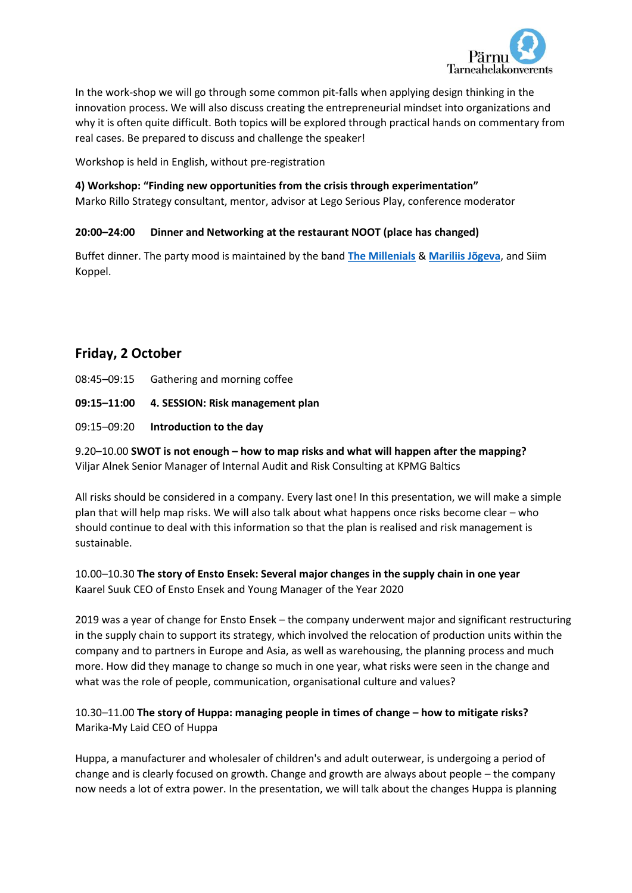

In the work-shop we will go through some common pit-falls when applying design thinking in the innovation process. We will also discuss creating the entrepreneurial mindset into organizations and why it is often quite difficult. Both topics will be explored through practical hands on commentary from real cases. Be prepared to discuss and challenge the speaker!

Workshop is held in English, without pre-registration

#### **4) Workshop: "Finding new opportunities from the crisis through experimentation"**

Marko Rillo Strategy consultant, mentor, advisor at Lego Serious Play, conference moderator

#### **20:00–24:00 Dinner and Networking at the restaurant NOOT (place has changed)**

Buffet dinner. The party mood is maintained by the band **[The Millenials](https://www.pianoman.ee/the-millenials?lang=en)** & **[Mariliis Jõgeva](https://menu.err.ee/1007909/mariliis-jogeva-unistustes)**, and Siim Koppel.

# **Friday, 2 October**

- 08:45–09:15 Gathering and morning coffee
- **09:15–11:00 4. SESSION: Risk management plan**
- 09:15–09:20 **Introduction to the day**

9.20–10.00 **SWOT is not enough – how to map risks and what will happen after the mapping?** Viljar Alnek Senior Manager of Internal Audit and Risk Consulting at KPMG Baltics

All risks should be considered in a company. Every last one! In this presentation, we will make a simple plan that will help map risks. We will also talk about what happens once risks become clear – who should continue to deal with this information so that the plan is realised and risk management is sustainable.

10.00–10.30 **The story of Ensto Ensek: Several major changes in the supply chain in one year** Kaarel Suuk CEO of Ensto Ensek and Young Manager of the Year 2020

2019 was a year of change for Ensto Ensek – the company underwent major and significant restructuring in the supply chain to support its strategy, which involved the relocation of production units within the company and to partners in Europe and Asia, as well as warehousing, the planning process and much more. How did they manage to change so much in one year, what risks were seen in the change and what was the role of people, communication, organisational culture and values?

## 10.30–11.00 **The story of Huppa: managing people in times of change – how to mitigate risks?** Marika-My Laid CEO of Huppa

Huppa, a manufacturer and wholesaler of children's and adult outerwear, is undergoing a period of change and is clearly focused on growth. Change and growth are always about people – the company now needs a lot of extra power. In the presentation, we will talk about the changes Huppa is planning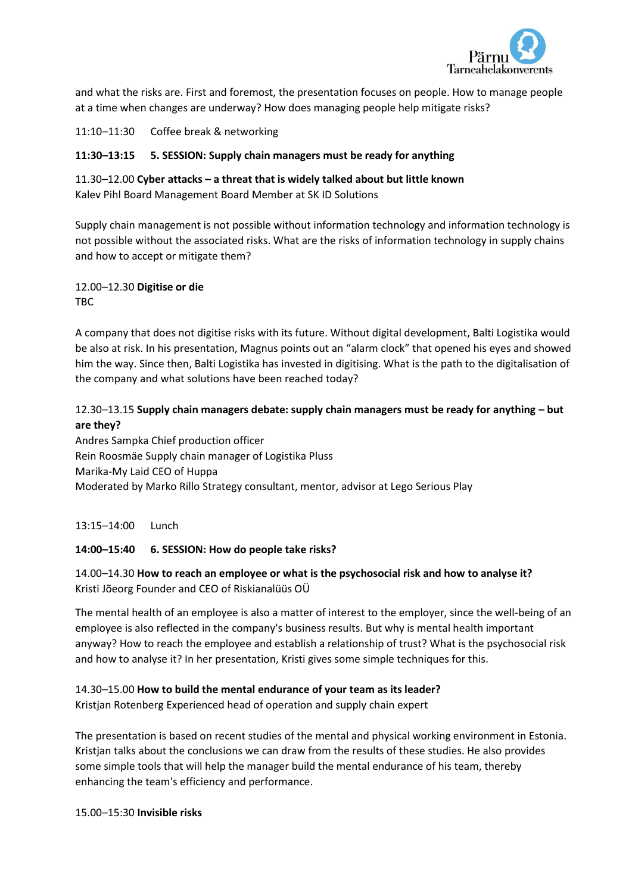

and what the risks are. First and foremost, the presentation focuses on people. How to manage people at a time when changes are underway? How does managing people help mitigate risks?

11:10–11:30 Coffee break & networking

## **11:30–13:15 5. SESSION: Supply chain managers must be ready for anything**

11.30–12.00 **Cyber attacks – a threat that is widely talked about but little known** Kalev Pihl Board Management Board Member at SK ID Solutions

Supply chain management is not possible without information technology and information technology is not possible without the associated risks. What are the risks of information technology in supply chains and how to accept or mitigate them?

12.00–12.30 **Digitise or die** TBC

A company that does not digitise risks with its future. Without digital development, Balti Logistika would be also at risk. In his presentation, Magnus points out an "alarm clock" that opened his eyes and showed him the way. Since then, Balti Logistika has invested in digitising. What is the path to the digitalisation of the company and what solutions have been reached today?

# 12.30–13.15 **Supply chain managers debate: supply chain managers must be ready for anything – but are they?**

Andres Sampka Chief production officer Rein Roosmäe Supply chain manager of Logistika Pluss Marika-My Laid CEO of Huppa Moderated by Marko Rillo Strategy consultant, mentor, advisor at Lego Serious Play

13:15–14:00 Lunch

## **14:00–15:40 6. SESSION: How do people take risks?**

14.00–14.30 **How to reach an employee or what is the psychosocial risk and how to analyse it?** Kristi Jõeorg Founder and CEO of Riskianalüüs OÜ

The mental health of an employee is also a matter of interest to the employer, since the well-being of an employee is also reflected in the company's business results. But why is mental health important anyway? How to reach the employee and establish a relationship of trust? What is the psychosocial risk and how to analyse it? In her presentation, Kristi gives some simple techniques for this.

## 14.30–15.00 **How to build the mental endurance of your team as its leader?**

Kristian Rotenberg Experienced head of operation and supply chain expert

The presentation is based on recent studies of the mental and physical working environment in Estonia. Kristjan talks about the conclusions we can draw from the results of these studies. He also provides some simple tools that will help the manager build the mental endurance of his team, thereby enhancing the team's efficiency and performance.

15.00–15:30 **Invisible risks**